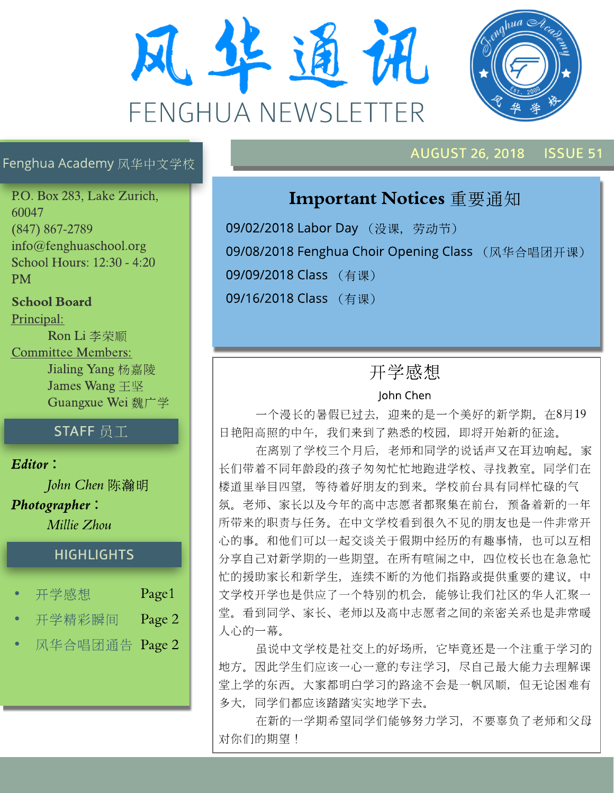



### AUGUST 26, 2018 ISSUE51

#### Fenghua Academy 风华中文学校

P.O. Box 283, Lake Zurich, 60047 (847) 867-2789 info@fenghuaschool.org School Hours: 12:30 - 4:20 PM

School Board Principal:

Ron Li 李荣顺 Committee Members: Jialing Yang 杨嘉陵 James Wang  $\mp$   $\mathbb{R}$ Guangxue Wei 魏广学

## $STAFF$  员工

**Editor?**

**John Chen** 陈瀚明 **Photographer? MillieZhou**

#### **HIGHLIGHTS**

| 开学感想           | Page1  |
|----------------|--------|
| 开学精彩瞬间         | Page 2 |
| 风华合唱团通告 Page 2 |        |

# Important Notices 重要通知

09/02/2018 Labor Day (没课, 劳动节) 09/08/2018 Fenghua Choir Opening Class (风华合唱团开课) 09/09/2018 Class (有课) 09/16/2018 Class (有课)

# 开学感想

#### John Chen

一个漫长的暑假已过去, 迎来的是一个美好的新学期。在8月19 日艳阳高照的中午, 我们来到了熟悉的校园, 即将开始新的征途。

在离别了学校三个月后, 老师和同学的说话声又在耳边响起。家 长们带着不同年龄段的孩子匆匆忙忙地跑进学校、寻找教室。同学们在 楼道里举目四望, 等待着好朋友的到来。学校前台具有同样忙碌的气 氛。老师、家长以及今年的高中志愿者都聚集在前台, 预备着新的一年 所带来的职责与任务。在中文学校看到很久不见的朋友也是一件非常开 心的事。和他们可以一起交谈关于假期中经历的有趣事情, 也可以互相 分享自己对新学期的一些期望。在所有喧闹之中, 四位校长也在急急忙 忙的援助家长和新学生, 连续不断的为他们指路或提供重要的建议。中 文学校开学也是供应了一个特别的机会,能够让我们社区的华人汇聚一 堂。看到同学、家长、老师以及高中志愿者之间的亲密关系也是非常暖 人心的一幕。

虽说中文学校是社交上的好场所, 它毕竟还是一个注重于学习的 地方。因此学生们应该一心一意的专注学习, 尽自己最大能力去理解课 堂上学的东西。大家都明白学习的路途不会是一帆风顺, 但无论困难有 多大, 同学们都应该踏踏实实地学下去。

在新的一学期希望同学们能够努力学习, 不要辜负了老师和父母 对你们的期望!